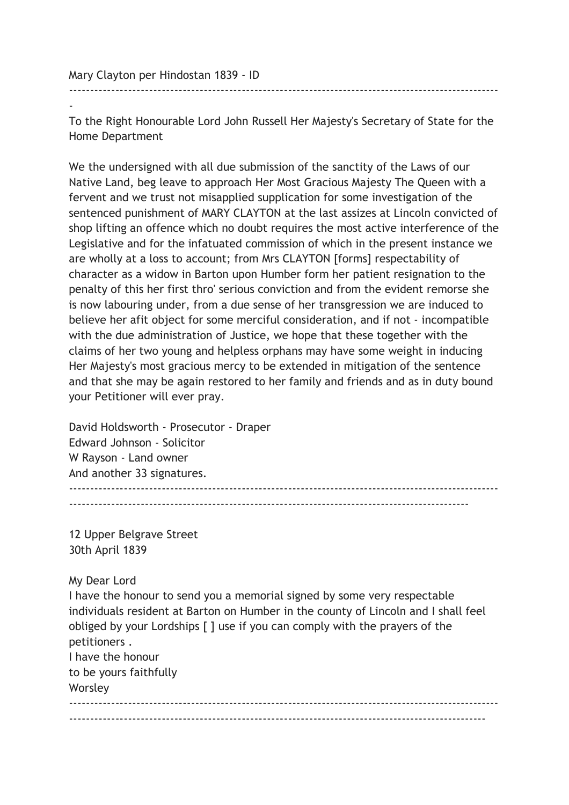Mary Clayton per Hindostan 1839 - ID

- To the Right Honourable Lord John Russell Her Majesty's Secretary of State for the Home Department

------------------------------------------------------------------------------------------------------

We the undersigned with all due submission of the sanctity of the Laws of our Native Land, beg leave to approach Her Most Gracious Majesty The Queen with a fervent and we trust not misapplied supplication for some investigation of the sentenced punishment of MARY CLAYTON at the last assizes at Lincoln convicted of shop lifting an offence which no doubt requires the most active interference of the Legislative and for the infatuated commission of which in the present instance we are wholly at a loss to account; from Mrs CLAYTON [forms] respectability of character as a widow in Barton upon Humber form her patient resignation to the penalty of this her first thro' serious conviction and from the evident remorse she is now labouring under, from a due sense of her transgression we are induced to believe her afit object for some merciful consideration, and if not - incompatible with the due administration of Justice, we hope that these together with the claims of her two young and helpless orphans may have some weight in inducing Her Majesty's most gracious mercy to be extended in mitigation of the sentence and that she may be again restored to her family and friends and as in duty bound your Petitioner will ever pray.

David Holdsworth - Prosecutor - Draper Edward Johnson - Solicitor W Rayson - Land owner And another 33 signatures. ------------------------------------------------------------------------------------------------------

-----------------------------------------------------------------------------------------------

12 Upper Belgrave Street 30th April 1839

My Dear Lord

I have the honour to send you a memorial signed by some very respectable individuals resident at Barton on Humber in the county of Lincoln and I shall feel obliged by your Lordships [ ] use if you can comply with the prayers of the petitioners . I have the honour to be yours faithfully Worsley ------------------------------------------------------------------------------------------------------ ---------------------------------------------------------------------------------------------------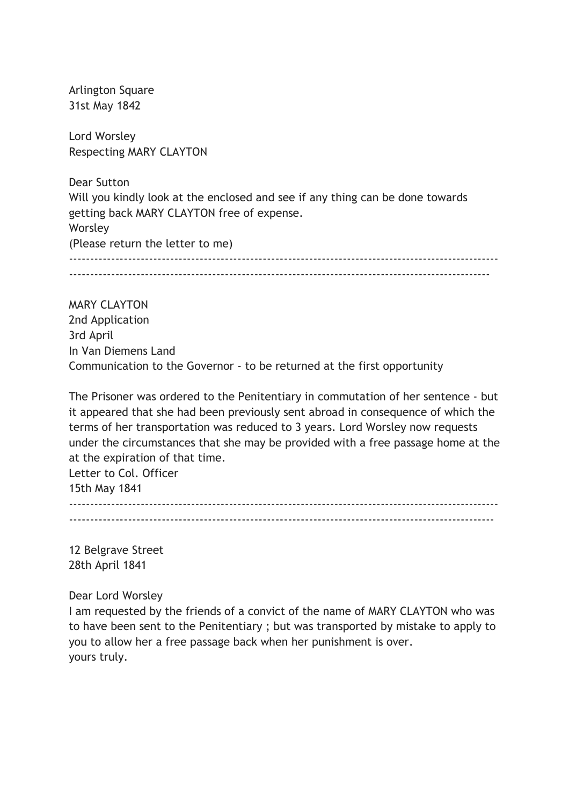Arlington Square 31st May 1842

Lord Worsley Respecting MARY CLAYTON

Dear Sutton Will you kindly look at the enclosed and see if any thing can be done towards getting back MARY CLAYTON free of expense. Worsley (Please return the letter to me) ------------------------------------------------------------------------------------------------------ ----------------------------------------------------------------------------------------------------

MARY CLAYTON 2nd Application 3rd April In Van Diemens Land Communication to the Governor - to be returned at the first opportunity

The Prisoner was ordered to the Penitentiary in commutation of her sentence - but it appeared that she had been previously sent abroad in consequence of which the terms of her transportation was reduced to 3 years. Lord Worsley now requests under the circumstances that she may be provided with a free passage home at the at the expiration of that time.

Letter to Col. Officer 15th May 1841

------------------------------------------------------------------------------------------------------ -----------------------------------------------------------------------------------------------------

12 Belgrave Street 28th April 1841

Dear Lord Worsley

I am requested by the friends of a convict of the name of MARY CLAYTON who was to have been sent to the Penitentiary ; but was transported by mistake to apply to you to allow her a free passage back when her punishment is over. yours truly.